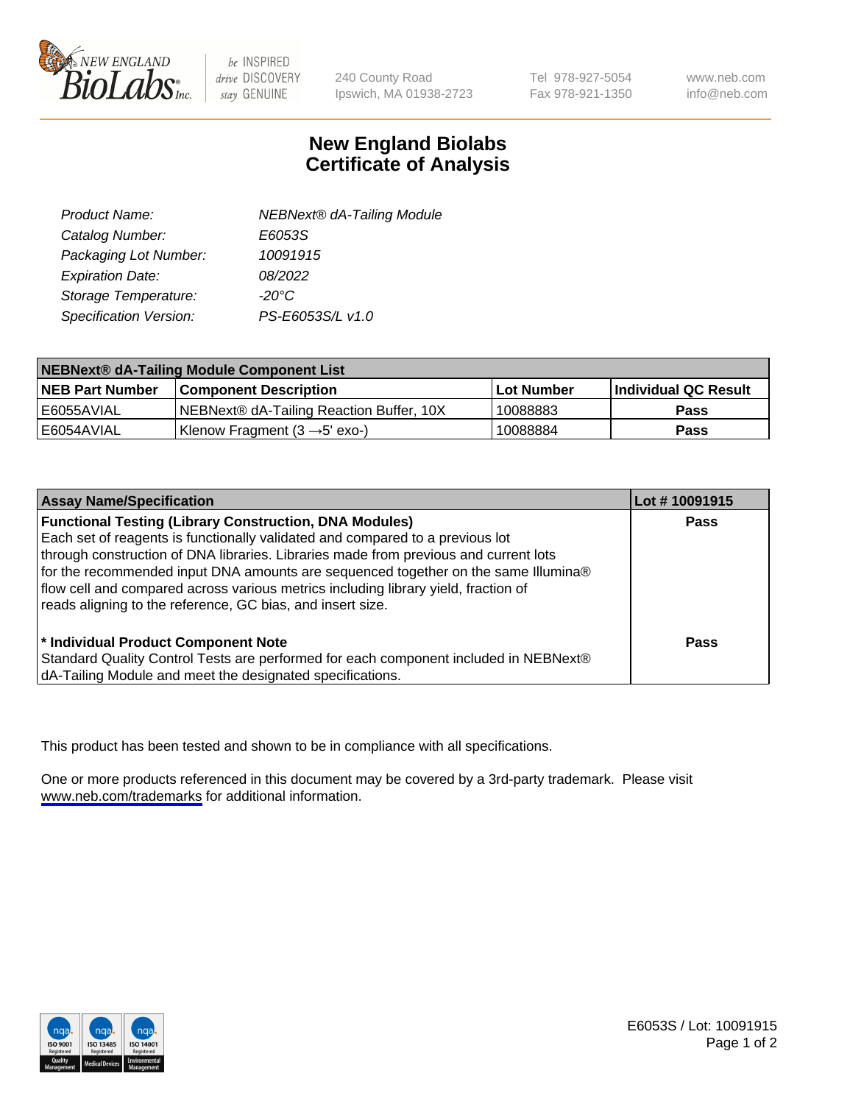

be INSPIRED drive DISCOVERY stay GENUINE

240 County Road Ipswich, MA 01938-2723 Tel 978-927-5054 Fax 978-921-1350

www.neb.com info@neb.com

## **New England Biolabs Certificate of Analysis**

| Product Name:           | <b>NEBNext® dA-Tailing Module</b> |
|-------------------------|-----------------------------------|
| Catalog Number:         | E6053S                            |
| Packaging Lot Number:   | 10091915                          |
| <b>Expiration Date:</b> | 08/2022                           |
| Storage Temperature:    | $-20^{\circ}$ C                   |
| Specification Version:  | PS-E6053S/L v1.0                  |

| NEBNext® dA-Tailing Module Component List |                                           |              |                      |  |
|-------------------------------------------|-------------------------------------------|--------------|----------------------|--|
| <b>NEB Part Number</b>                    | <b>Component Description</b>              | l Lot Number | Individual QC Result |  |
| l E6055AVIAL                              | NEBNext® dA-Tailing Reaction Buffer, 10X  | 10088883     | <b>Pass</b>          |  |
| I E6054AVIAL                              | Klenow Fragment $(3 \rightarrow 5'$ exo-) | 10088884     | <b>Pass</b>          |  |

| <b>Assay Name/Specification</b>                                                      | Lot # 10091915 |
|--------------------------------------------------------------------------------------|----------------|
| <b>Functional Testing (Library Construction, DNA Modules)</b>                        | <b>Pass</b>    |
| Each set of reagents is functionally validated and compared to a previous lot        |                |
| through construction of DNA libraries. Libraries made from previous and current lots |                |
| for the recommended input DNA amounts are sequenced together on the same Illumina®   |                |
| flow cell and compared across various metrics including library yield, fraction of   |                |
| reads aligning to the reference, GC bias, and insert size.                           |                |
|                                                                                      |                |
| * Individual Product Component Note                                                  | Pass           |
| Standard Quality Control Tests are performed for each component included in NEBNext® |                |
| dA-Tailing Module and meet the designated specifications.                            |                |

This product has been tested and shown to be in compliance with all specifications.

One or more products referenced in this document may be covered by a 3rd-party trademark. Please visit <www.neb.com/trademarks>for additional information.